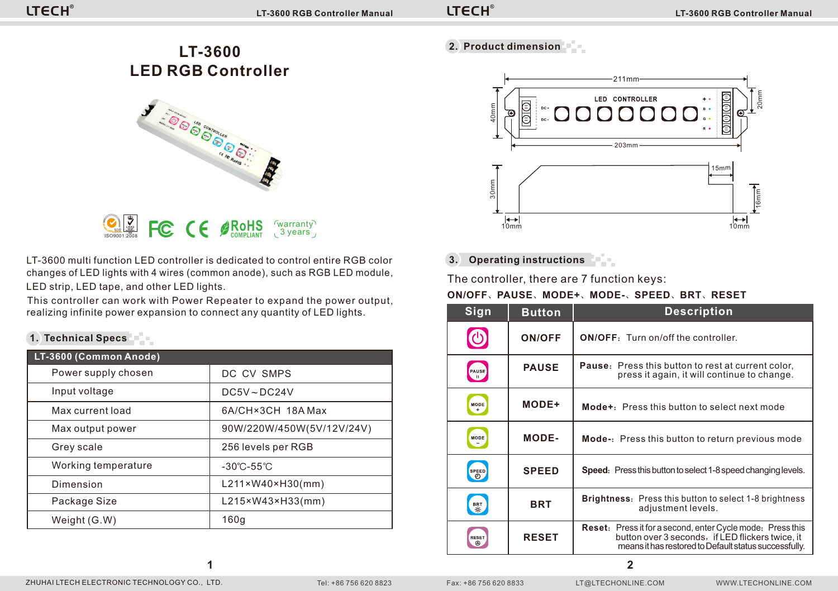**LT-3600 LED RGB Controller**



LT-3600 multi function LED controller is dedicated to control entire RGB color changes of LED lights with 4 wires (common anode), such as RGB LED module, LED strip, LED tape, and other LED lights.

This controller can work with Power Repeater to expand the power output, realizing infinite power expansion to connect any quantity of LED lights.

## **1. Technical Specs**

| LT-3600 (Common Anode) |                                   |  |
|------------------------|-----------------------------------|--|
| Power supply chosen    | DC CV SMPS                        |  |
| Input voltage          | $DC5V \sim DC24V$                 |  |
| Max current load       | 6A/CH×3CH 18A Max                 |  |
| Max output power       | 90W/220W/450W(5V/12V/24V)         |  |
| Grey scale             | 256 levels per RGB                |  |
| Working temperature    | $-30^{\circ}$ C $-55^{\circ}$ C   |  |
| Dimension              | L211×W40×H30(mm)                  |  |
| Package Size           | $L215 \times W43 \times H33$ (mm) |  |
| Weight (G.W)           | 160q                              |  |

**1**

**2. Product dimension**



**3. Operating instructions**AT 1999.

The controller, there are 7 function keys:

# **ON/OFF**、**PAUSE**、**MODE+**、**MODE-**、**SPEED**、**BRT**、**RESET**

| Sign                  | <b>Button</b> | <b>Description</b>                                                                                                                                                             |
|-----------------------|---------------|--------------------------------------------------------------------------------------------------------------------------------------------------------------------------------|
|                       | ON/OFF        | ON/OFF: Turn on/off the controller.                                                                                                                                            |
| PAUSE<br>$\mathbf{u}$ | <b>PAUSE</b>  | Pause: Press this button to rest at current color,<br>press it again, it will continue to change.                                                                              |
| MODE                  | MODE+         | Mode+: Press this button to select next mode                                                                                                                                   |
| MODE                  | MODE-         | Mode-: Press this button to return previous mode                                                                                                                               |
| SPEED                 | <b>SPEED</b>  | Speed: Press this button to select 1-8 speed changing levels.                                                                                                                  |
| BRT<br>               | BRT           | <b>Brightness:</b> Press this button to select 1-8 brightness<br>adjustment levels.                                                                                            |
| RESET                 | <b>RESET</b>  | <b>Reset:</b> Press it for a second, enter Cycle mode; Press this<br>button over 3 seconds, if LED flickers twice, it<br>means it has restored to Default status successfully. |

**2**